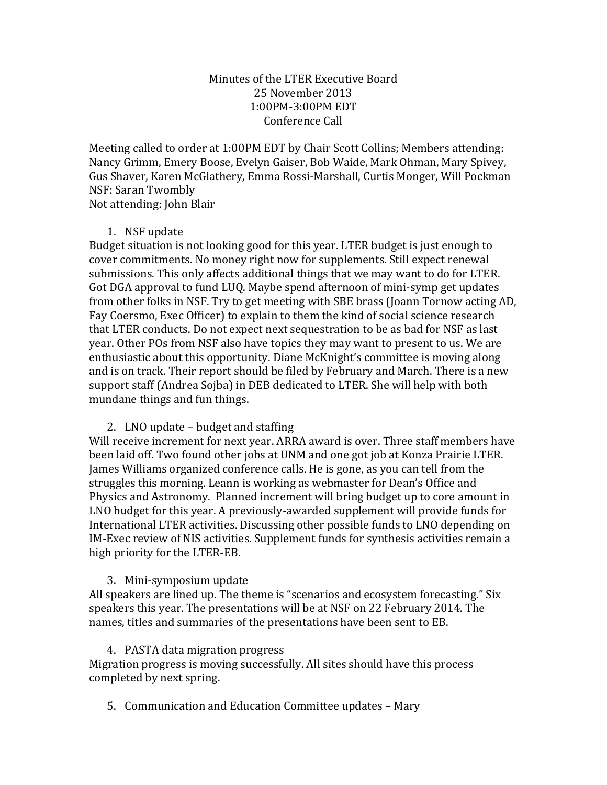## Minutes of the LTER Executive Board 25 November 2013 1:00PM-3:00PM EDT Conference Call

Meeting called to order at 1:00PM EDT by Chair Scott Collins; Members attending: Nancy Grimm, Emery Boose, Evelyn Gaiser, Bob Waide, Mark Ohman, Mary Spivey, Gus Shaver, Karen McGlathery, Emma Rossi-Marshall, Curtis Monger, Will Pockman NSF: Saran Twombly

Not attending: John Blair

## 1. NSF update

Budget situation is not looking good for this year. LTER budget is just enough to cover commitments. No money right now for supplements. Still expect renewal submissions. This only affects additional things that we may want to do for LTER. Got DGA approval to fund LUQ. Maybe spend afternoon of mini-symp get updates from other folks in NSF. Try to get meeting with SBE brass (Joann Tornow acting AD, Fay Coersmo, Exec Officer) to explain to them the kind of social science research that LTER conducts. Do not expect next sequestration to be as bad for NSF as last year. Other POs from NSF also have topics they may want to present to us. We are enthusiastic about this opportunity. Diane McKnight's committee is moving along and is on track. Their report should be filed by February and March. There is a new support staff (Andrea Sojba) in DEB dedicated to LTER. She will help with both mundane things and fun things.

## 2. LNO update  $-$  budget and staffing

Will receive increment for next year. ARRA award is over. Three staff members have been laid off. Two found other jobs at UNM and one got job at Konza Prairie LTER. James Williams organized conference calls. He is gone, as you can tell from the struggles this morning. Leann is working as webmaster for Dean's Office and Physics and Astronomy. Planned increment will bring budget up to core amount in LNO budget for this year. A previously-awarded supplement will provide funds for International LTER activities. Discussing other possible funds to LNO depending on IM-Exec review of NIS activities. Supplement funds for synthesis activities remain a high priority for the LTER-EB.

## 3. Mini-symposium update

All speakers are lined up. The theme is "scenarios and ecosystem forecasting." Six speakers this year. The presentations will be at NSF on 22 February 2014. The names, titles and summaries of the presentations have been sent to EB.

## 4. PASTA data migration progress

Migration progress is moving successfully. All sites should have this process completed by next spring.

5. Communication and Education Committee updates – Mary